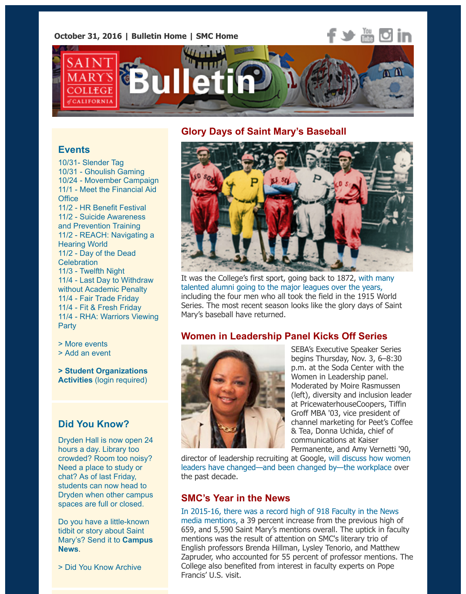**October 31, 2016 | [Bulletin Home](http://www.stmarys-ca.edu/smc-bulletin?utm_source=Bulletin&utm_medium=email&utm_content=headerlinks_test&utm_campaign=10-31-2016) | [SMC Home](http://www.stmarys-ca.edu/?utm_source=Bulletin&utm_medium=email&utm_content=headerlinks_test&utm_campaign=10-31-2016)**



## **Glory Days of Saint Mary's Baseball**

## **Events**

10/31- [Slender Tag](http://www.stmarys-ca.edu/slender-tag?utm_source=Bulletin&utm_medium=email&utm_content=event_test&utm_campaign=10-31-2016) 10/31 - [Ghoulish Gaming](http://www.stmarys-ca.edu/ghoulish-gaming-night?utm_source=Bulletin&utm_medium=email&utm_content=event_test&utm_campaign=10-31-2016) 10/24 - [Movember Campaign](http://www.stmarys-ca.edu/movember-moustache-showcase-raising-awareness-about-mens-mental-health?utm_source=Bulletin&utm_medium=email&utm_content=event_test&utm_campaign=10-31-2016) [11/1 - Meet the Financial Aid](http://www.stmarys-ca.edu/meet-the-financial-aid-office?utm_source=Bulletin&utm_medium=email&utm_content=event_test&utm_campaign=10-31-2016) **Office** 11/2 - [HR Benefit Festival](http://www.stmarys-ca.edu/benefit-festival?utm_source=Bulletin&utm_medium=email&utm_content=event_test&utm_campaign=10-31-2016) [11/2 - Suicide Awareness](http://www.stmarys-ca.edu/question-persuade-and-refer-qpr-suicide-awareness-and-prevention-training-2?utm_source=Bulletin&utm_medium=email&utm_content=event_test&utm_campaign=10-31-2016) and Prevention Training [11/2 - REACH: Navigating a](http://www.stmarys-ca.edu/reach-navigating-a-hearing-world?utm_source=Bulletin&utm_medium=email&utm_content=event_test&utm_campaign=10-31-2016) Hearing World [11/2 - Day of the Dead](http://www.stmarys-ca.edu/day-of-the-dead-celebration?utm_source=Bulletin&utm_medium=email&utm_content=event_test&utm_campaign=10-31-2016) **Celebration** 11/3 [- Twelfth Night](http://www.stmarys-ca.edu/twelfth-night?utm_source=Bulletin&utm_medium=email&utm_content=event_test&utm_campaign=10-31-2016) [11/4 - Last Day to Withdraw](http://www.stmarys-ca.edu/last-day-for-passfail-grading-or-withdrawal-from-a-course-without-academic-penalty-2?utm_source=Bulletin&utm_medium=email&utm_content=event_test&utm_campaign=10-31-2016) without Academic Penalty 11/4 - [Fair Trade Friday](http://www.stmarys-ca.edu/fair-trade-friday-0?utm_source=Bulletin&utm_medium=email&utm_content=event_test&utm_campaign=10-31-2016) 11/4 [- Fit & Fresh Friday](http://www.stmarys-ca.edu/fit-fresh-friday-a-feel-good-friday-event?utm_source=Bulletin&utm_medium=email&utm_content=event_test&utm_campaign=10-31-2016) [11/4 - RHA: Warriors Viewing](http://www.stmarys-ca.edu/rha-warriors-viewing-party?utm_source=Bulletin&utm_medium=email&utm_content=event_test&utm_campaign=10-31-2016) **Party** 

[> More events](http://www.stmarys-ca.edu/events?utm_source=Bulletin&utm_medium=email&utm_content=event_test&utm_campaign=10-31-2016)

[> Add an event](http://www.stmarys-ca.edu/node/add/calendar-event?utm_source=Bulletin&utm_medium=email&utm_content=event_test&utm_campaign=10-31-2016)

**[> Student Organizations](https://stmarys-ca-community.symplicity.com/) Activities** (login required)

# **Did You Know?**

Dryden Hall is now open 24 hours a day. Library too crowded? Room too noisy? Need a place to study or chat? As of last Friday, students can now head to Dryden when other campus spaces are full or closed.

Do you have a little-known tidbit or story about Saint [Mary's? Send it to](mailto:news@stmarys-ca.edu) **Campus News**.

[> Did You Know Archive](http://www.stmarys-ca.edu/smc-bulletin/did-you-know-0?utm_source=Bulletin&utm_medium=email&utm_content=sidebar_test&utm_campaign=10-31-2016)



[It was the College's first sport, going back to 1872, with many](http://www.stmarys-ca.edu/the-glory-days-of-saint-mary%E2%80%99s-baseball?utm_source=Bulletin&utm_medium=email&utm_content=feature_test&utm_campaign=10-31-2016) talented alumni going to the major leagues over the years, including the four men who all took the field in the 1915 World Series. The most recent season looks like the glory days of Saint Mary's baseball have returned.

# **Women in Leadership Panel Kicks Off Series**



SEBA's Executive Speaker Series begins Thursday, Nov. 3, 6–8:30 p.m. at the Soda Center with the Women in Leadership panel. Moderated by Moire Rasmussen (left), diversity and inclusion leader at PricewaterhouseCoopers, Tiffin Groff MBA '03, vice president of channel marketing for Peet's Coffee & Tea, Donna Uchida, chief of communications at Kaiser Permanente, and Amy Vernetti '90,

[director of leadership recruiting at Google, will discuss how women](http://www.stmarys-ca.edu/executive-speaker-series-women-in-leadership?utm_source=Bulletin&utm_medium=email&utm_content=feature_test&utm_campaign=10-31-2016) leaders have changed—and been changed by—the workplace over the past decade.

# **SMC's Year in the News**

[In 2015-16, there was a record high of 918 Faculty in the News](http://www.stmarys-ca.edu/smc-in-the-news-2015-16-summary?utm_source=Bulletin&utm_medium=email&utm_content=feature_test&utm_campaign=10-31-2016) media mentions, a 39 percent increase from the previous high of 659, and 5,590 Saint Mary's mentions overall. The uptick in faculty mentions was the result of attention on SMC's literary trio of English professors Brenda Hillman, Lysley Tenorio, and Matthew Zapruder, who accounted for 55 percent of professor mentions. The College also benefited from interest in faculty experts on Pope Francis' U.S. visit.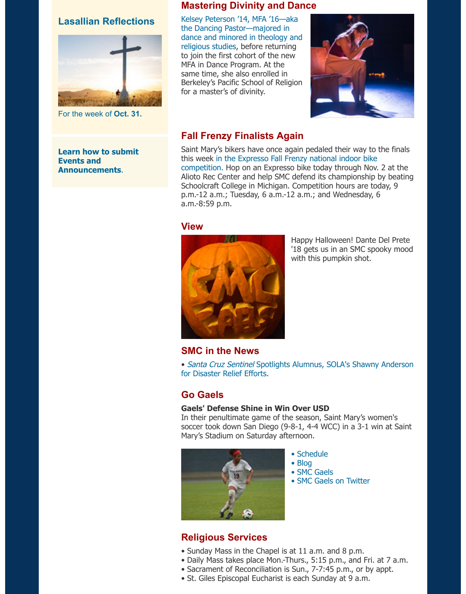### **Lasallian Reflections**



For the week of **[Oct. 31.](http://www.stmarys-ca.edu/living-lasallian/lasallian-reflections?utm_source=Bulletin&utm_medium=email&utm_content=sidebar_test&utm_campaign=10-31-2016)**

#### **[Learn how to submit](http://www.stmarys-ca.edu/smc-bulletin/faqs?utm_source=Bulletin&utm_medium=email&utm_content=sidebar_test&utm_campaign=10-31-2016) Events and Announcements**.

### **Mastering Divinity and Dance**

Kelsey Peterson '14, MFA '16—aka the Dancing Pastor—majored in [dance and minored in theology and](http://www.stmarys-ca.edu/alumni-spotlight-kelsey-peterson?utm_source=Bulletin&utm_medium=email&utm_content=feature_test&utm_campaign=10-31-2016) religious studies, before returning to join the first cohort of the new MFA in Dance Program. At the same time, she also enrolled in Berkeley's Pacific School of Religion for a master's of divinity.



## **Fall Frenzy Finalists Again**

Saint Mary's bikers have once again pedaled their way to the finals [this week in the Expresso Fall Frenzy national indoor bike](http://www.stmarys-ca.edu/campus-recreation/fall-frenzy-2016?utm_source=Bulletin&utm_medium=email&utm_content=feature_test&utm_campaign=10-31-2016) competition. Hop on an Expresso bike today through Nov. 2 at the Alioto Rec Center and help SMC defend its championship by beating Schoolcraft College in Michigan. Competition hours are today, 9 p.m.-12 a.m.; Tuesday, 6 a.m.-12 a.m.; and Wednesday, 6 a.m.-8:59 p.m.

#### **View**



Happy Halloween! Dante Del Prete '18 gets us in an SMC spooky mood with this pumpkin shot.

### **SMC in the News**

• Santa Cruz Sentinel [Spotlights Alumnus, SOLA's Shawny Anderson](http://www.stmarys-ca.edu/santa-cruz-sentinel-spotlights-alumnus-solas-shawny-anderson-for-disaster-relief-efforts?utm_source=Bulletin&utm_medium=email&utm_content=feature_test&utm_campaign=10-31-2016) for Disaster Relief Efforts.

### **Go Gaels**

### **Gaels' Defense Shine in Win Over USD**

In their penultimate game of the season, Saint Mary's women's soccer took down San Diego (9-8-1, 4-4 WCC) in a 3-1 win at Saint Mary's Stadium on Saturday afternoon.



- • [Schedule](http://www.smcgaels.com/main/Schedule.dbml)
- • [Blog](http://smcgaels.wordpress.com/)
- • [SMC Gaels](http://www.smcgaels.com/)
	- • [SMC Gaels on Twitter](https://twitter.com/smcgaels/)

# **Religious Services**

- Sunday Mass in the Chapel is at 11 a.m. and 8 p.m.
- Daily Mass takes place Mon.-Thurs., 5:15 p.m., and Fri. at 7 a.m.
- Sacrament of Reconciliation is Sun., 7-7:45 p.m., or by appt.
- St. Giles Episcopal Eucharist is each Sunday at 9 a.m.